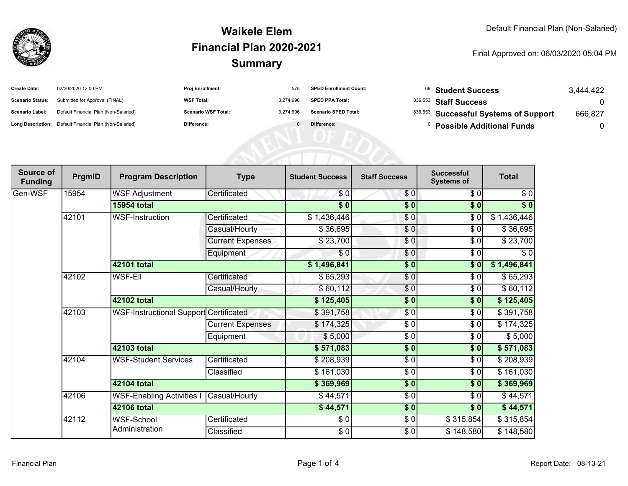

#### **SummaryWaikele ElemFinancial Plan 2020-2021**

#### Final Approved on: 06/03/2020 05:04 PM

| <b>Create Date:</b>     | 02/20/2020 12:00 PM                                     | <b>Proj Enrollment:</b>    | 578       | <b>SPED Enrollment Count:</b> | <sup>69</sup> Student Success         | 3.444.422 |
|-------------------------|---------------------------------------------------------|----------------------------|-----------|-------------------------------|---------------------------------------|-----------|
| <b>Scenario Status:</b> | Submitted for Approval (FINAL)                          | <b>WSF Total:</b>          | 3.274.696 | <b>SPED PPA Total:</b>        | <sup>836,553</sup> Staff Success      |           |
| <b>Scenario Label:</b>  | Default Financial Plan (Non-Salaried)                   | <b>Scenario WSF Total:</b> | 3.274.696 | <b>Scenario SPED Total:</b>   | 836,553 Successful Systems of Support | 666,827   |
|                         | Long Description: Default Financial Plan (Non-Salaried) | Difference:                |           | Difference:                   | <b>Possible Additional Funds</b>      |           |

| Source of<br><b>Funding</b> | PrgmID      | <b>Program Description</b>                    | <b>Type</b>                 | <b>Student Success</b> | <b>Staff Success</b> | <b>Successful</b><br><b>Systems of</b> | <b>Total</b> |           |
|-----------------------------|-------------|-----------------------------------------------|-----------------------------|------------------------|----------------------|----------------------------------------|--------------|-----------|
| Gen-WSF                     | 15954       | <b>WSF Adjustment</b>                         | Certificated                | \$0                    | \$0                  | \$0                                    | \$0          |           |
|                             |             | <b>15954 total</b>                            |                             | $\sqrt{6}$             | $\sqrt{6}$           | $\sqrt{6}$                             | $\sqrt[6]{}$ |           |
|                             | 42101       | <b>WSF-Instruction</b>                        | Certificated                | \$1,436,446            | \$0                  | $\frac{1}{\sqrt{2}}$                   | \$1,436,446  |           |
|                             |             |                                               | Casual/Hourly               | \$36,695               | \$0                  | \$0                                    | \$36,695     |           |
|                             |             |                                               | <b>Current Expenses</b>     | \$23,700               | \$0                  | \$0                                    | \$23,700     |           |
|                             |             |                                               | Equipment                   | \$0                    | \$0                  | \$0                                    | \$0          |           |
|                             |             | 42101 total                                   |                             | \$1,496,841            | \$0                  | \$0                                    | \$1,496,841  |           |
|                             | 42102       | <b>WSF-Ell</b>                                | Certificated                | \$65,293               | \$0                  | $\frac{6}{6}$                          | \$65,293     |           |
|                             |             |                                               | Casual/Hourly               | \$60,112               | $\frac{6}{3}$        | \$0                                    | \$60,112     |           |
|                             |             | 42102 total                                   |                             | \$125,405              | \$0                  | \$0                                    | \$125,405    |           |
|                             | 42103       | <b>WSF-Instructional Support Certificated</b> |                             | \$391,758              | \$0                  | \$0                                    | \$391,758    |           |
|                             |             |                                               | <b>Current Expenses</b>     | \$174,325              | \$0                  | \$0                                    | \$174,325    |           |
|                             |             |                                               | Equipment                   | \$5,000                | $\frac{6}{6}$        | \$0                                    | \$5,000      |           |
|                             |             | 42103 total                                   |                             | \$571,083              | $\sqrt{6}$           | \$0                                    | \$571,083    |           |
|                             | 42104       |                                               | <b>WSF-Student Services</b> | Certificated           | \$208,939            | \$0                                    | \$0          | \$208,939 |
|                             |             |                                               | Classified                  | \$161,030              | \$0                  | \$0                                    | \$161,030    |           |
|                             |             | 42104 total                                   |                             | \$369,969              | $\frac{1}{2}$        | \$0                                    | \$369,969    |           |
|                             | 42106       | <b>WSF-Enabling Activities I</b>              | Casual/Hourly               | \$44,571               | \$0                  | \$0                                    | \$44,571     |           |
|                             | 42106 total |                                               |                             | \$44,571               | \$0                  | \$0                                    | \$44,571     |           |
|                             | 42112       | WSF-School                                    | Certificated                | \$0                    | $\frac{6}{6}$        | \$315,854                              | \$315,854    |           |
|                             |             | Administration                                | Classified                  | \$0                    | $\frac{6}{6}$        | \$148,580                              | \$148,580    |           |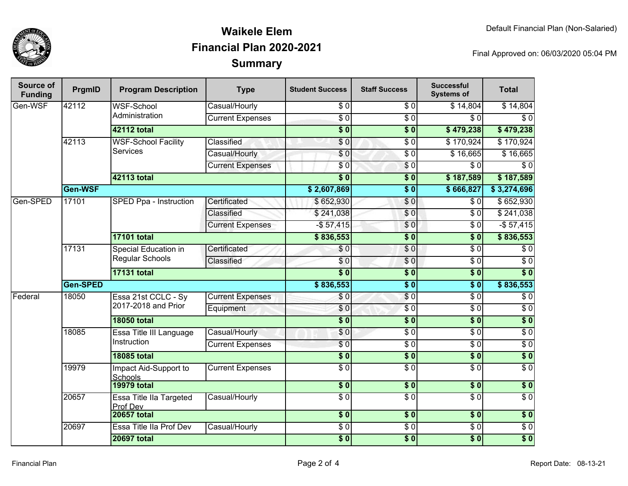

## **SummaryWaikele ElemFinancial Plan 2020-2021**

Final Approved on: 06/03/2020 05:04 PM

| Source of<br><b>Funding</b> | PrgmID          | <b>Program Description</b>                    | <b>Type</b>             | <b>Student Success</b>   | <b>Staff Success</b> | <b>Successful</b><br><b>Systems of</b> | <b>Total</b>     |                 |
|-----------------------------|-----------------|-----------------------------------------------|-------------------------|--------------------------|----------------------|----------------------------------------|------------------|-----------------|
| Gen-WSF                     | 42112           | <b>WSF-School</b><br>Administration           | Casual/Hourly           | \$0                      | \$0                  | \$14,804                               | \$14,804         |                 |
|                             |                 |                                               | <b>Current Expenses</b> | $\overline{S}0$          | $\overline{S}0$      | $\overline{\$0}$                       | $\overline{\$0}$ |                 |
|                             |                 | 42112 total                                   |                         | $\overline{\$0}$         | $\overline{\$0}$     | \$479,238                              | \$479,238        |                 |
|                             | 42113           | <b>WSF-School Facility</b><br><b>Services</b> | Classified              | \$0                      | $\overline{\$0}$     | \$170,924                              | \$170,924        |                 |
|                             |                 |                                               | Casual/Hourly           | \$0                      | $\sqrt{6}$           | \$16,665                               | \$16,665         |                 |
|                             |                 |                                               | <b>Current Expenses</b> | \$0                      | $\sqrt{6}$           | \$0                                    | $\overline{\$0}$ |                 |
|                             |                 | 42113 total                                   |                         | $\overline{\$0}$         | $\overline{\$0}$     | \$187,589                              | \$187,589        |                 |
|                             | Gen-WSF         |                                               |                         | \$2,607,869              | $\overline{\$0}$     | \$666,827                              | \$3,274,696      |                 |
| Gen-SPED                    | 17101           | SPED Ppa - Instruction                        | Certificated            | \$652,930                | \$0                  | \$0                                    | \$652,930        |                 |
|                             |                 |                                               | Classified              | \$241,038                | \$0                  | \$0                                    | \$241,038        |                 |
|                             |                 |                                               | <b>Current Expenses</b> | $-$57,415$               | \$0                  | $\overline{\$0}$                       | $-$57,415$       |                 |
|                             |                 | <b>17101 total</b>                            |                         | \$836,553                | $\overline{\$0}$     | $\overline{\$0}$                       | \$836,553        |                 |
|                             | 17131           | Special Education in<br>Regular Schools       | Certificated            | \$0                      | $\sqrt{6}$           | $\sqrt{6}$                             | $\sqrt{6}$       |                 |
|                             |                 |                                               | Classified              | \$0                      | $\sqrt{0}$           | $\overline{\$0}$                       | $\overline{\$0}$ |                 |
|                             |                 | <b>17131 total</b>                            |                         | $\overline{\$0}$         | $\overline{\$0}$     | $\overline{\$0}$                       | $\overline{\$0}$ |                 |
|                             | <b>Gen-SPED</b> |                                               |                         | \$836,553                | $\overline{\$0}$     | $\overline{\$0}$                       | \$836,553        |                 |
| Federal                     |                 | 18050<br>Essa 21st CCLC - Sy                  |                         | <b>Current Expenses</b>  | \$0                  | \$0                                    | $\overline{\$0}$ | $\overline{60}$ |
|                             |                 | 2017-2018 and Prior                           | Equipment               | \$0                      | $\overline{30}$      | $\overline{\$0}$                       | $\overline{\$0}$ |                 |
|                             |                 | <b>18050 total</b>                            |                         | $\overline{\$0}$         | $\overline{\$0}$     | s <sub>0</sub>                         | $\overline{\$0}$ |                 |
|                             | 18085           | Essa Title III Language                       | Casual/Hourly           | \$0                      | $\overline{\$0}$     | $\overline{\$0}$                       | $\overline{\$0}$ |                 |
|                             |                 | Instruction                                   | <b>Current Expenses</b> | $\overline{\$0}$         | $\overline{30}$      | $\overline{\$0}$                       | $\overline{\$0}$ |                 |
|                             |                 | <b>18085 total</b>                            |                         | $\overline{\$0}$         | $\overline{\$0}$     | $\overline{\$0}$                       | $\overline{\$0}$ |                 |
|                             | 19979           | Impact Aid-Support to<br>Schools              | <b>Current Expenses</b> | $\overline{S}0$          | $\overline{30}$      | $\overline{\$0}$                       | $\overline{S}0$  |                 |
|                             |                 | <b>19979 total</b>                            |                         | $\overline{\textbf{50}}$ | s <sub>0</sub>       | \$0                                    | $\sqrt{6}$       |                 |
|                             | 20657           | <b>Essa Title Ila Targeted</b><br>Prof Dev    | Casual/Hourly           | $\overline{\$0}$         | $\overline{\$0}$     | $\overline{\$0}$                       | $\overline{\$0}$ |                 |
|                             |                 | <b>20657 total</b>                            |                         | $\overline{\$0}$         | \$0                  | $\overline{\$0}$                       | \$0              |                 |
|                             | 20697           | Essa Title IIa Prof Dev                       | Casual/Hourly           | $\sqrt{6}$               | $\overline{60}$      | $\sqrt{6}$                             | \$0              |                 |
|                             |                 | <b>20697 total</b>                            |                         | $\overline{\$0}$         | $\overline{\$0}$     | \$0                                    | $\overline{\$0}$ |                 |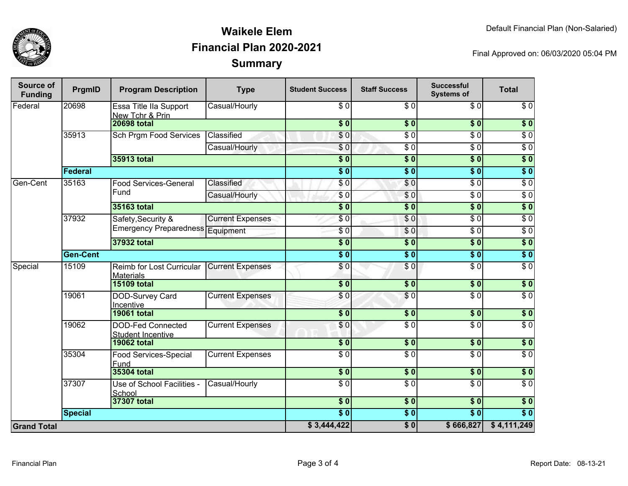

## **SummaryWaikele ElemFinancial Plan 2020-2021**

Final Approved on: 06/03/2020 05:04 PM

| Source of<br><b>Funding</b> | PrgmID          | <b>Program Description</b>                           | <b>Type</b>             | <b>Student Success</b>    | <b>Staff Success</b> | <b>Successful</b><br><b>Systems of</b> | <b>Total</b>     |
|-----------------------------|-----------------|------------------------------------------------------|-------------------------|---------------------------|----------------------|----------------------------------------|------------------|
| Federal                     | 20698           | Essa Title IIa Support<br>New Tchr & Prin            | Casual/Hourly           | \$0                       | \$0                  | \$0                                    | \$0              |
|                             |                 | <b>20698 total</b>                                   |                         | $\overline{\$}0$          | $\overline{\$}0$     | s <sub>0</sub>                         | \$0              |
|                             | 35913           | <b>Sch Prgm Food Services</b>                        | Classified              | $\sqrt{6}$                | $\overline{\$0}$     | $\overline{\$0}$                       | $\overline{\$0}$ |
|                             |                 |                                                      | Casual/Hourly           | \$0                       | $\overline{\$0}$     | $\overline{\$0}$                       | $\overline{\$0}$ |
|                             |                 | 35913 total                                          |                         | $\overline{\$0}$          | $\overline{\$0}$     | $\overline{\$0}$                       | $\overline{\$0}$ |
|                             | Federal         |                                                      |                         | $\overline{\$0}$          | $\overline{\$0}$     | $\overline{\$0}$                       | $\overline{\$0}$ |
| Gen-Cent                    | 35163           | <b>Food Services-General</b><br>Fund                 | Classified              | \$0                       | \$0                  | $\overline{\$0}$                       | $\overline{\$0}$ |
|                             |                 |                                                      | Casual/Hourly           | \$0                       | \$0                  | $\overline{\$0}$                       | $\overline{\$0}$ |
|                             |                 | 35163 total                                          |                         | $\overline{\$0}$          | $\overline{\$0}$     | $\overline{\$0}$                       | $\overline{\$0}$ |
|                             | 37932           | Safety, Security &                                   | <b>Current Expenses</b> | \$0                       | $\overline{\$0}$     | $\overline{\$0}$                       | $\overline{\$0}$ |
|                             |                 | Emergency Preparedness Equipment                     |                         | $\overline{\$0}$          | \$0                  | $\overline{\$0}$                       | $\overline{\$0}$ |
|                             |                 | 37932 total                                          |                         | $\overline{\textbf{S}^0}$ | $\overline{\$0}$     | $\overline{\textbf{S}^0}$              | $\overline{\$0}$ |
|                             | <b>Gen-Cent</b> |                                                      | $\overline{\$0}$        | $\overline{\$0}$          | $\overline{\$0}$     | $\sqrt{6}$                             |                  |
| Special                     | 15109           | Reimb for Lost Curricular<br><b>Materials</b>        | <b>Current Expenses</b> | $\overline{\$0}$          | $\overline{S}0$      | $\overline{\$0}$                       | $\overline{\$0}$ |
|                             |                 | <b>15109 total</b>                                   |                         | $\overline{\$0}$          | \$0                  | \$0                                    | \$0              |
|                             | 19061           | DOD-Survey Card<br><b>Incentive</b>                  | <b>Current Expenses</b> | \$0                       | \$0                  | $\sqrt{6}$                             | $\overline{S}0$  |
|                             |                 | <b>19061 total</b>                                   |                         | $\overline{\$0}$          | $\overline{\$0}$     | $\overline{\$0}$                       | $\overline{\$0}$ |
|                             | 19062           | <b>DOD-Fed Connected</b><br><b>Student Incentive</b> | <b>Current Expenses</b> | $\overline{\$0}$          | $\overline{30}$      | $\overline{60}$                        | $\overline{S}0$  |
|                             |                 | <b>19062 total</b>                                   |                         | $\overline{\$0}$          | $\overline{\$0}$     | $\overline{\$0}$                       | $\overline{\$0}$ |
|                             | 35304           | <b>Food Services-Special</b><br>Fund                 | <b>Current Expenses</b> | $\overline{\$0}$          | $\overline{\$0}$     | $\overline{\$0}$                       | $\overline{\$0}$ |
|                             |                 | 35304 total                                          |                         | $\overline{\$0}$          | $\frac{1}{2}$        | $\frac{1}{2}$                          | \$0              |
|                             | 37307           | Use of School Facilities -<br>School                 | Casual/Hourly           | $\overline{\$0}$          | $\overline{S}0$      | $\overline{S}0$                        | $\overline{\$0}$ |
|                             |                 | 37307 total                                          |                         | $\overline{\$0}$          | $\overline{\$0}$     | $\sqrt{6}$                             | $\overline{\$0}$ |
|                             | <b>Special</b>  |                                                      |                         | $\overline{\$0}$          | $\overline{\$0}$     | $\overline{\$0}$                       | $\overline{\$0}$ |
| <b>Grand Total</b>          |                 |                                                      |                         | \$3,444,422               | $\overline{\$}0$     | \$666,827                              | \$4,111,249      |